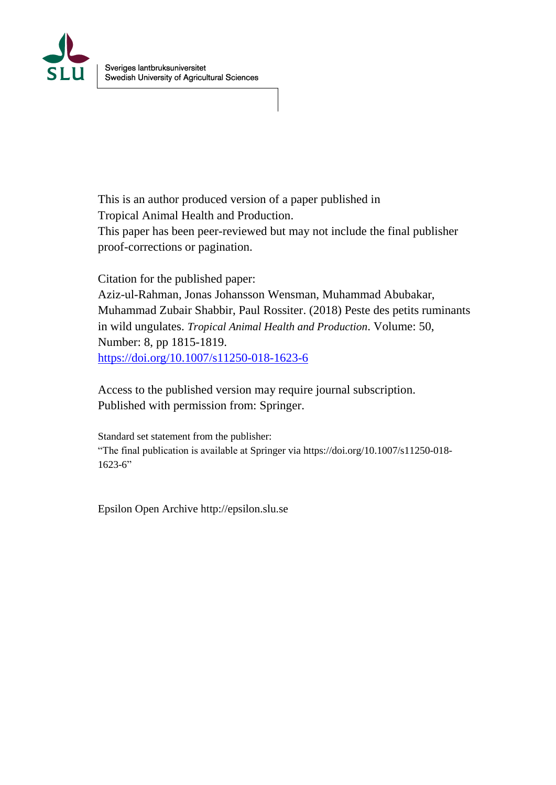

This is an author produced version of a paper published in Tropical Animal Health and Production. This paper has been peer-reviewed but may not include the final publisher proof-corrections or pagination.

Citation for the published paper:

Aziz-ul-Rahman, Jonas Johansson Wensman, Muhammad Abubakar, Muhammad Zubair Shabbir, Paul Rossiter. (2018) Peste des petits ruminants in wild ungulates. *Tropical Animal Health and Production*. Volume: 50, Number: 8, pp 1815-1819. <https://doi.org/10.1007/s11250-018-1623-6>

Access to the published version may require journal subscription. Published with permission from: Springer.

Standard set statement from the publisher: "The final publication is available at Springer via https://doi.org/10.1007/s11250-018-  $1623-6"$ 

Epsilon Open Archive http://epsilon.slu.se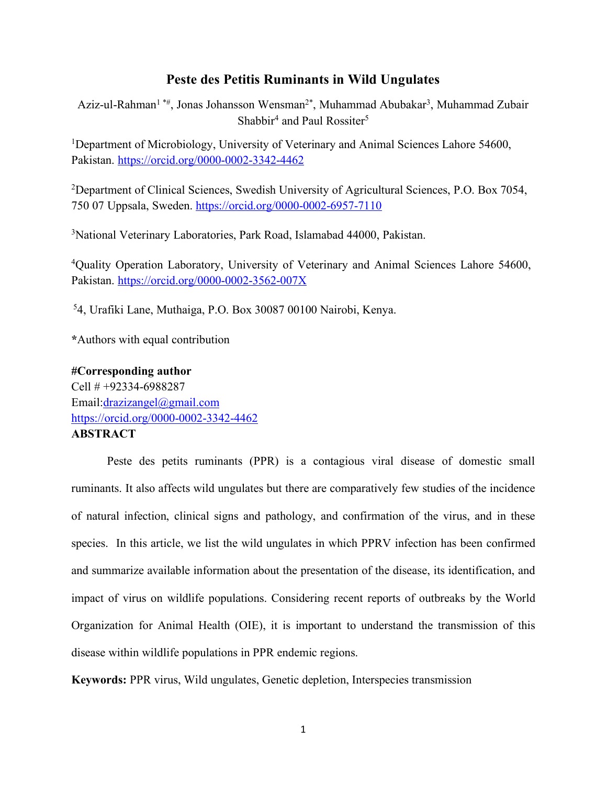## **Peste des Petitis Ruminants in Wild Ungulates**

Aziz-ul-Rahman1 \*#, Jonas Johansson Wensman2\*, Muhammad Abubakar3, Muhammad Zubair Shabbir<sup>4</sup> and Paul Rossiter<sup>5</sup>

<sup>1</sup>Department of Microbiology, University of Veterinary and Animal Sciences Lahore 54600, Pakistan. https://orcid.org/0000-0002-3342-4462

<sup>2</sup>Department of Clinical Sciences, Swedish University of Agricultural Sciences, P.O. Box 7054, 750 07 Uppsala, Sweden. https://orcid.org/0000-0002-6957-7110

3 National Veterinary Laboratories, Park Road, Islamabad 44000, Pakistan.

4 Quality Operation Laboratory, University of Veterinary and Animal Sciences Lahore 54600, Pakistan. https://orcid.org/0000-0002-3562-007X

5 4, Urafiki Lane, Muthaiga, P.O. Box 30087 00100 Nairobi, Kenya.

**\***Authors with equal contribution

**#Corresponding author** Cell # +92334-6988287 Email:drazizangel@gmail.com https://orcid.org/0000-0002-3342-4462 **ABSTRACT**

Peste des petits ruminants (PPR) is a contagious viral disease of domestic small ruminants. It also affects wild ungulates but there are comparatively few studies of the incidence of natural infection, clinical signs and pathology, and confirmation of the virus, and in these species. In this article, we list the wild ungulates in which PPRV infection has been confirmed and summarize available information about the presentation of the disease, its identification, and impact of virus on wildlife populations. Considering recent reports of outbreaks by the World Organization for Animal Health (OIE), it is important to understand the transmission of this disease within wildlife populations in PPR endemic regions.

**Keywords:** PPR virus, Wild ungulates, Genetic depletion, Interspecies transmission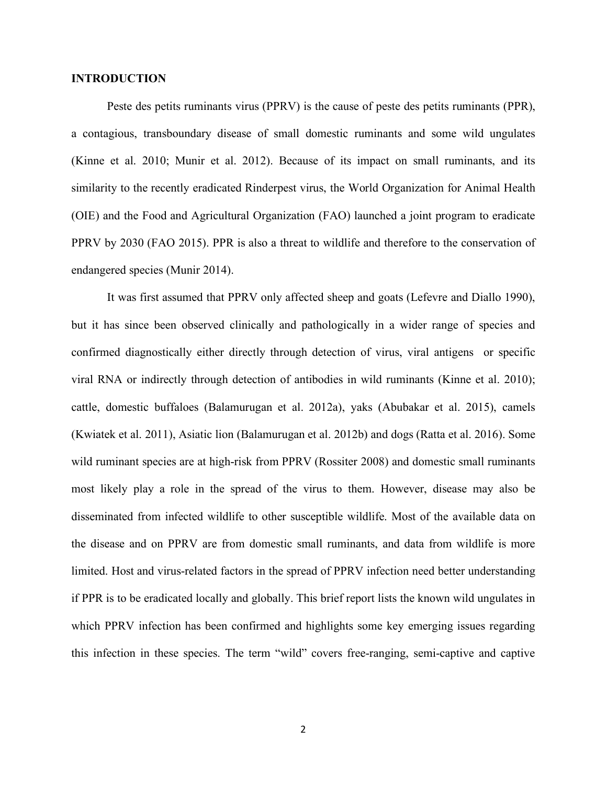## **INTRODUCTION**

Peste des petits ruminants virus (PPRV) is the cause of peste des petits ruminants (PPR), a contagious, transboundary disease of small domestic ruminants and some wild ungulates (Kinne et al. 2010; Munir et al. 2012). Because of its impact on small ruminants, and its similarity to the recently eradicated Rinderpest virus, the World Organization for Animal Health (OIE) and the Food and Agricultural Organization (FAO) launched a joint program to eradicate PPRV by 2030 (FAO 2015). PPR is also a threat to wildlife and therefore to the conservation of endangered species (Munir 2014).

It was first assumed that PPRV only affected sheep and goats (Lefevre and Diallo 1990), but it has since been observed clinically and pathologically in a wider range of species and confirmed diagnostically either directly through detection of virus, viral antigens or specific viral RNA or indirectly through detection of antibodies in wild ruminants (Kinne et al. 2010); cattle, domestic buffaloes (Balamurugan et al. 2012a), yaks (Abubakar et al. 2015), camels (Kwiatek et al. 2011), Asiatic lion (Balamurugan et al. 2012b) and dogs (Ratta et al. 2016). Some wild ruminant species are at high-risk from PPRV (Rossiter 2008) and domestic small ruminants most likely play a role in the spread of the virus to them. However, disease may also be disseminated from infected wildlife to other susceptible wildlife. Most of the available data on the disease and on PPRV are from domestic small ruminants, and data from wildlife is more limited. Host and virus-related factors in the spread of PPRV infection need better understanding if PPR is to be eradicated locally and globally. This brief report lists the known wild ungulates in which PPRV infection has been confirmed and highlights some key emerging issues regarding this infection in these species. The term "wild" covers free-ranging, semi-captive and captive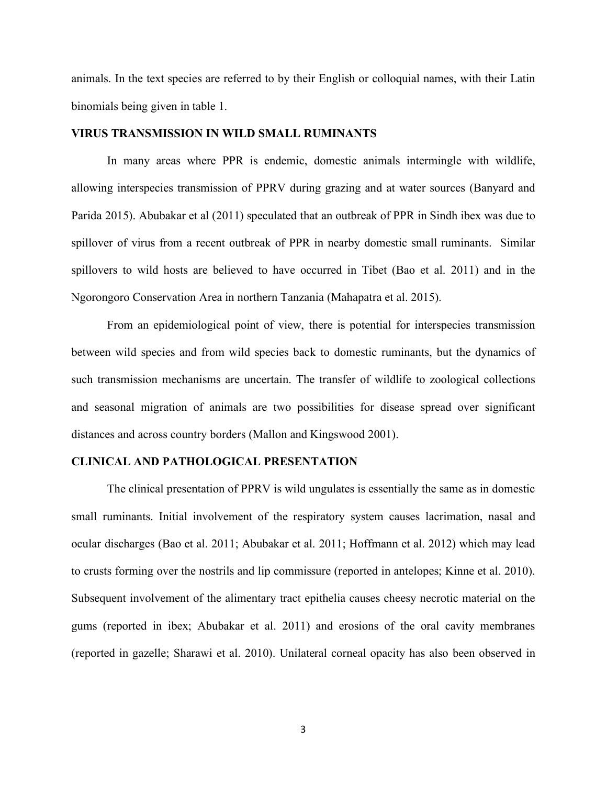animals. In the text species are referred to by their English or colloquial names, with their Latin binomials being given in table 1.

### **VIRUS TRANSMISSION IN WILD SMALL RUMINANTS**

In many areas where PPR is endemic, domestic animals intermingle with wildlife, allowing interspecies transmission of PPRV during grazing and at water sources (Banyard and Parida 2015). Abubakar et al (2011) speculated that an outbreak of PPR in Sindh ibex was due to spillover of virus from a recent outbreak of PPR in nearby domestic small ruminants. Similar spillovers to wild hosts are believed to have occurred in Tibet (Bao et al. 2011) and in the Ngorongoro Conservation Area in northern Tanzania (Mahapatra et al. 2015).

From an epidemiological point of view, there is potential for interspecies transmission between wild species and from wild species back to domestic ruminants, but the dynamics of such transmission mechanisms are uncertain. The transfer of wildlife to zoological collections and seasonal migration of animals are two possibilities for disease spread over significant distances and across country borders (Mallon and Kingswood 2001).

### **CLINICAL AND PATHOLOGICAL PRESENTATION**

The clinical presentation of PPRV is wild ungulates is essentially the same as in domestic small ruminants. Initial involvement of the respiratory system causes lacrimation, nasal and ocular discharges (Bao et al. 2011; Abubakar et al. 2011; Hoffmann et al. 2012) which may lead to crusts forming over the nostrils and lip commissure (reported in antelopes; Kinne et al. 2010). Subsequent involvement of the alimentary tract epithelia causes cheesy necrotic material on the gums (reported in ibex; Abubakar et al. 2011) and erosions of the oral cavity membranes (reported in gazelle; Sharawi et al. 2010). Unilateral corneal opacity has also been observed in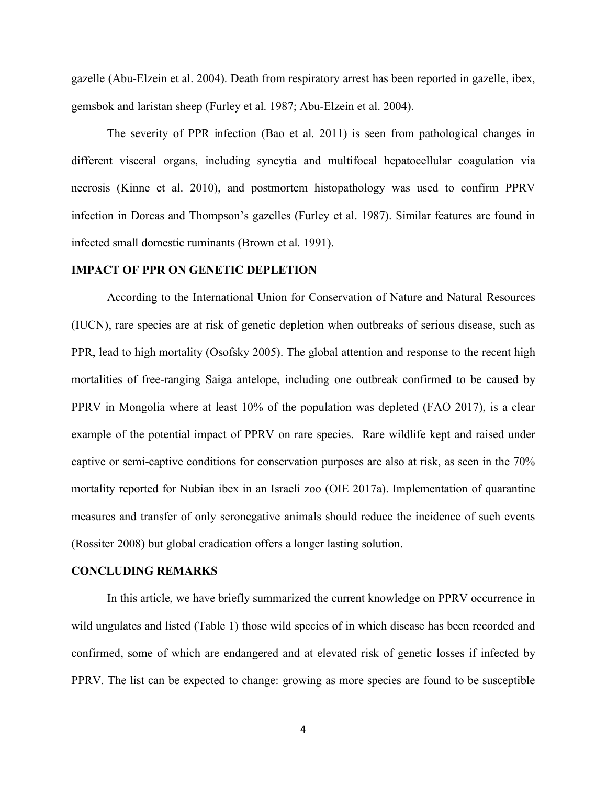gazelle (Abu-Elzein et al. 2004). Death from respiratory arrest has been reported in gazelle, ibex, gemsbok and laristan sheep (Furley et al. 1987; Abu-Elzein et al. 2004).

The severity of PPR infection (Bao et al. 2011) is seen from pathological changes in different visceral organs, including syncytia and multifocal hepatocellular coagulation via necrosis (Kinne et al. 2010), and postmortem histopathology was used to confirm PPRV infection in Dorcas and Thompson's gazelles (Furley et al. 1987). Similar features are found in infected small domestic ruminants (Brown et al. 1991).

#### **IMPACT OF PPR ON GENETIC DEPLETION**

According to the International Union for Conservation of Nature and Natural Resources (IUCN), rare species are at risk of genetic depletion when outbreaks of serious disease, such as PPR, lead to high mortality (Osofsky 2005). The global attention and response to the recent high mortalities of free-ranging Saiga antelope, including one outbreak confirmed to be caused by PPRV in Mongolia where at least 10% of the population was depleted (FAO 2017), is a clear example of the potential impact of PPRV on rare species. Rare wildlife kept and raised under captive or semi-captive conditions for conservation purposes are also at risk, as seen in the 70% mortality reported for Nubian ibex in an Israeli zoo (OIE 2017a). Implementation of quarantine measures and transfer of only seronegative animals should reduce the incidence of such events (Rossiter 2008) but global eradication offers a longer lasting solution.

## **CONCLUDING REMARKS**

In this article, we have briefly summarized the current knowledge on PPRV occurrence in wild ungulates and listed (Table 1) those wild species of in which disease has been recorded and confirmed, some of which are endangered and at elevated risk of genetic losses if infected by PPRV. The list can be expected to change: growing as more species are found to be susceptible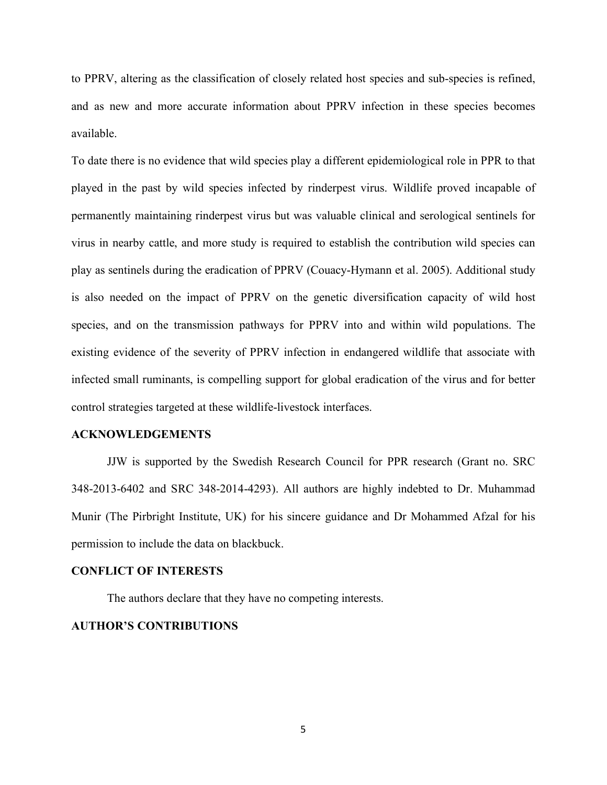to PPRV, altering as the classification of closely related host species and sub-species is refined, and as new and more accurate information about PPRV infection in these species becomes available.

To date there is no evidence that wild species play a different epidemiological role in PPR to that played in the past by wild species infected by rinderpest virus. Wildlife proved incapable of permanently maintaining rinderpest virus but was valuable clinical and serological sentinels for virus in nearby cattle, and more study is required to establish the contribution wild species can play as sentinels during the eradication of PPRV (Couacy-Hymann et al. 2005). Additional study is also needed on the impact of PPRV on the genetic diversification capacity of wild host species, and on the transmission pathways for PPRV into and within wild populations. The existing evidence of the severity of PPRV infection in endangered wildlife that associate with infected small ruminants, is compelling support for global eradication of the virus and for better control strategies targeted at these wildlife-livestock interfaces.

## **ACKNOWLEDGEMENTS**

JJW is supported by the Swedish Research Council for PPR research (Grant no. SRC 348-2013-6402 and SRC 348-2014-4293). All authors are highly indebted to Dr. Muhammad Munir (The Pirbright Institute, UK) for his sincere guidance and Dr Mohammed Afzal for his permission to include the data on blackbuck.

#### **CONFLICT OF INTERESTS**

The authors declare that they have no competing interests.

## **AUTHOR'S CONTRIBUTIONS**

5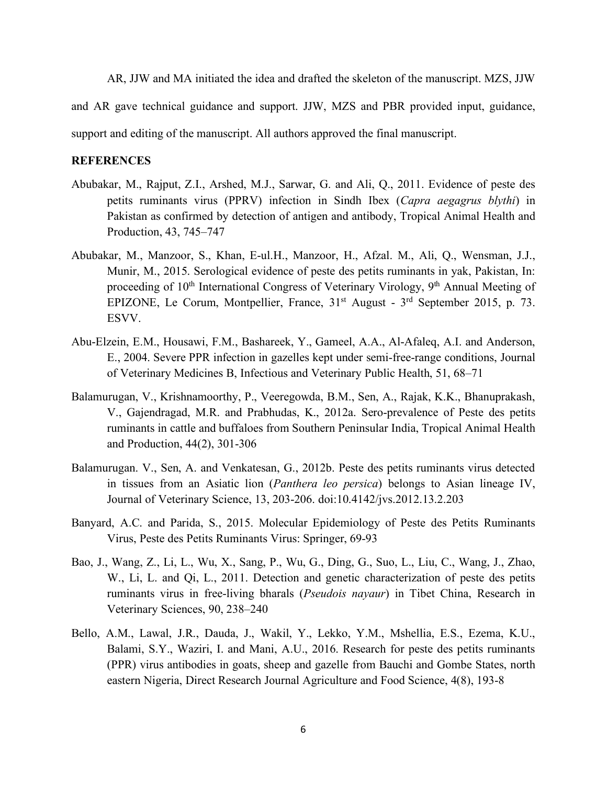AR, JJW and MA initiated the idea and drafted the skeleton of the manuscript. MZS, JJW

and AR gave technical guidance and support. JJW, MZS and PBR provided input, guidance,

support and editing of the manuscript. All authors approved the final manuscript.

## **REFERENCES**

- Abubakar, M., Rajput, Z.I., Arshed, M.J., Sarwar, G. and Ali, Q., 2011. Evidence of peste des petits ruminants virus (PPRV) infection in Sindh Ibex (*Capra aegagrus blythi*) in Pakistan as confirmed by detection of antigen and antibody, Tropical Animal Health and Production, 43, 745–747
- Abubakar, M., Manzoor, S., Khan, E-ul.H., Manzoor, H., Afzal. M., Ali, Q., Wensman, J.J., Munir, M., 2015. Serological evidence of peste des petits ruminants in yak, Pakistan, In: proceeding of 10<sup>th</sup> International Congress of Veterinary Virology, 9<sup>th</sup> Annual Meeting of EPIZONE, Le Corum, Montpellier, France, 31<sup>st</sup> August - 3<sup>rd</sup> September 2015, p. 73. ESVV.
- Abu-Elzein, E.M., Housawi, F.M., Bashareek, Y., Gameel, A.A., Al-Afaleq, A.I. and Anderson, E., 2004. Severe PPR infection in gazelles kept under semi-free-range conditions, Journal of Veterinary Medicines B, Infectious and Veterinary Public Health, 51, 68–71
- Balamurugan, V., Krishnamoorthy, P., Veeregowda, B.M., Sen, A., Rajak, K.K., Bhanuprakash, V., Gajendragad, M.R. and Prabhudas, K., 2012a. Sero-prevalence of Peste des petits ruminants in cattle and buffaloes from Southern Peninsular India, Tropical Animal Health and Production, 44(2), 301-306
- Balamurugan. V., Sen, A. and Venkatesan, G., 2012b. Peste des petits ruminants virus detected in tissues from an Asiatic lion (*Panthera leo persica*) belongs to Asian lineage IV, Journal of Veterinary Science, 13, 203-206. doi:10.4142/jvs.2012.13.2.203
- Banyard, A.C. and Parida, S., 2015. Molecular Epidemiology of Peste des Petits Ruminants Virus, Peste des Petits Ruminants Virus: Springer, 69-93
- Bao, J., Wang, Z., Li, L., Wu, X., Sang, P., Wu, G., Ding, G., Suo, L., Liu, C., Wang, J., Zhao, W., Li, L. and Qi, L., 2011. Detection and genetic characterization of peste des petits ruminants virus in free-living bharals (*Pseudois nayaur*) in Tibet China, Research in Veterinary Sciences, 90, 238–240
- Bello, A.M., Lawal, J.R., Dauda, J., Wakil, Y., Lekko, Y.M., Mshellia, E.S., Ezema, K.U., Balami, S.Y., Waziri, I. and Mani, A.U., 2016. Research for peste des petits ruminants (PPR) virus antibodies in goats, sheep and gazelle from Bauchi and Gombe States, north eastern Nigeria, Direct Research Journal Agriculture and Food Science, 4(8), 193-8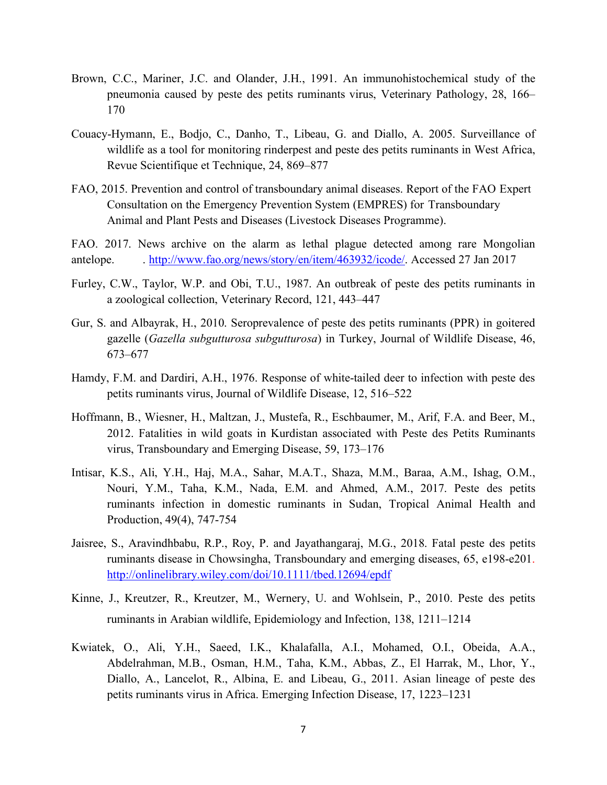- Brown, C.C., Mariner, J.C. and Olander, J.H., 1991. An immunohistochemical study of the pneumonia caused by peste des petits ruminants virus, Veterinary Pathology, 28, 166– 170
- Couacy-Hymann, E., Bodjo, C., Danho, T., Libeau, G. and Diallo, A. 2005. Surveillance of wildlife as a tool for monitoring rinderpest and peste des petits ruminants in West Africa, Revue Scientifique et Technique, 24, 869–877
- FAO, 2015. Prevention and control of transboundary animal diseases. Report of the FAO Expert Consultation on the Emergency Prevention System (EMPRES) for Transboundary Animal and Plant Pests and Diseases (Livestock Diseases Programme).
- FAO. 2017. News archive on the alarm as lethal plague detected among rare Mongolian antelope. . http://www.fao.org/news/story/en/item/463932/icode/. Accessed 27 Jan 2017
- Furley, C.W., Taylor, W.P. and Obi, T.U., 1987. An outbreak of peste des petits ruminants in a zoological collection, Veterinary Record, 121, 443–447
- Gur, S. and Albayrak, H., 2010. Seroprevalence of peste des petits ruminants (PPR) in goitered gazelle (*Gazella subgutturosa subgutturosa*) in Turkey, Journal of Wildlife Disease, 46, 673–677
- Hamdy, F.M. and Dardiri, A.H., 1976. Response of white-tailed deer to infection with peste des petits ruminants virus, Journal of Wildlife Disease, 12, 516–522
- Hoffmann, B., Wiesner, H., Maltzan, J., Mustefa, R., Eschbaumer, M., Arif, F.A. and Beer, M., 2012. Fatalities in wild goats in Kurdistan associated with Peste des Petits Ruminants virus, Transboundary and Emerging Disease, 59, 173–176
- Intisar, K.S., Ali, Y.H., Haj, M.A., Sahar, M.A.T., Shaza, M.M., Baraa, A.M., Ishag, O.M., Nouri, Y.M., Taha, K.M., Nada, E.M. and Ahmed, A.M., 2017. Peste des petits ruminants infection in domestic ruminants in Sudan, Tropical Animal Health and Production, 49(4), 747-754
- Jaisree, S., Aravindhbabu, R.P., Roy, P. and Jayathangaraj, M.G., 2018. Fatal peste des petits ruminants disease in Chowsingha, Transboundary and emerging diseases, 65, e198-e201. http://onlinelibrary.wiley.com/doi/10.1111/tbed.12694/epdf
- Kinne, J., Kreutzer, R., Kreutzer, M., Wernery, U. and Wohlsein, P., 2010. Peste des petits ruminants in Arabian wildlife, Epidemiology and Infection, 138, 1211–1214
- Kwiatek, O., Ali, Y.H., Saeed, I.K., Khalafalla, A.I., Mohamed, O.I., Obeida, A.A., Abdelrahman, M.B., Osman, H.M., Taha, K.M., Abbas, Z., El Harrak, M., Lhor, Y., Diallo, A., Lancelot, R., Albina, E. and Libeau, G., 2011. Asian lineage of peste des petits ruminants virus in Africa. Emerging Infection Disease, 17, 1223–1231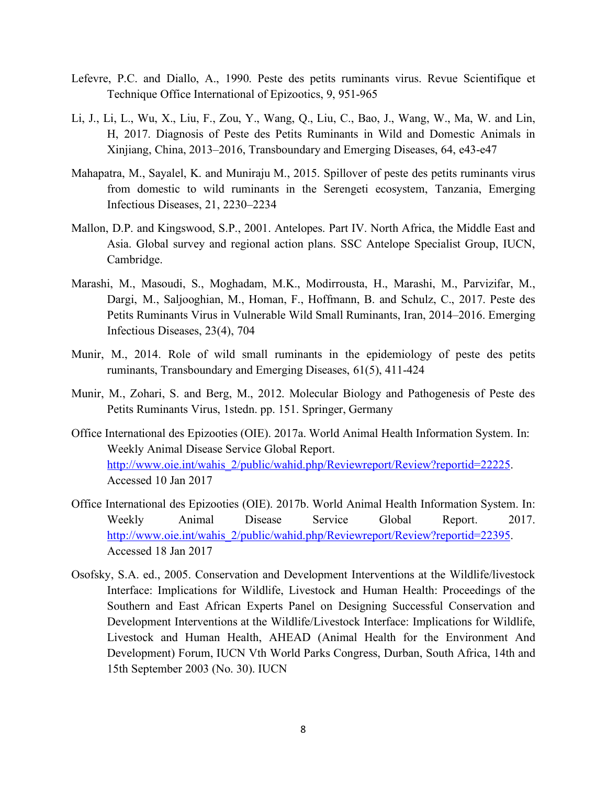- Lefevre, P.C. and Diallo, A., 1990. Peste des petits ruminants virus. Revue Scientifique et Technique Office International of Epizootics, 9, 951-965
- Li, J., Li, L., Wu, X., Liu, F., Zou, Y., Wang, Q., Liu, C., Bao, J., Wang, W., Ma, W. and Lin, H, 2017. Diagnosis of Peste des Petits Ruminants in Wild and Domestic Animals in Xinjiang, China, 2013–2016, Transboundary and Emerging Diseases, 64, e43-e47
- Mahapatra, M., Sayalel, K. and Muniraju M., 2015. Spillover of peste des petits ruminants virus from domestic to wild ruminants in the Serengeti ecosystem, Tanzania, Emerging Infectious Diseases, 21, 2230–2234
- Mallon, D.P. and Kingswood, S.P., 2001. Antelopes. Part IV. North Africa, the Middle East and Asia. Global survey and regional action plans. SSC Antelope Specialist Group, IUCN, Cambridge.
- Marashi, M., Masoudi, S., Moghadam, M.K., Modirrousta, H., Marashi, M., Parvizifar, M., Dargi, M., Saljooghian, M., Homan, F., Hoffmann, B. and Schulz, C., 2017. Peste des Petits Ruminants Virus in Vulnerable Wild Small Ruminants, Iran, 2014–2016. Emerging Infectious Diseases, 23(4), 704
- Munir, M., 2014. Role of wild small ruminants in the epidemiology of peste des petits ruminants, Transboundary and Emerging Diseases, 61(5), 411-424
- Munir, M., Zohari, S. and Berg, M., 2012. Molecular Biology and Pathogenesis of Peste des Petits Ruminants Virus, 1stedn. pp. 151. Springer, Germany
- Office International des Epizooties (OIE). 2017a. World Animal Health Information System. In: Weekly Animal Disease Service Global Report. http://www.oie.int/wahis\_2/public/wahid.php/Reviewreport/Review?reportid=22225. Accessed 10 Jan 2017
- Office International des Epizooties (OIE). 2017b. World Animal Health Information System. In: Weekly Animal Disease Service Global Report. 2017. http://www.oie.int/wahis\_2/public/wahid.php/Reviewreport/Review?reportid=22395. Accessed 18 Jan 2017
- Osofsky, S.A. ed., 2005. Conservation and Development Interventions at the Wildlife/livestock Interface: Implications for Wildlife, Livestock and Human Health: Proceedings of the Southern and East African Experts Panel on Designing Successful Conservation and Development Interventions at the Wildlife/Livestock Interface: Implications for Wildlife, Livestock and Human Health, AHEAD (Animal Health for the Environment And Development) Forum, IUCN Vth World Parks Congress, Durban, South Africa, 14th and 15th September 2003 (No. 30). IUCN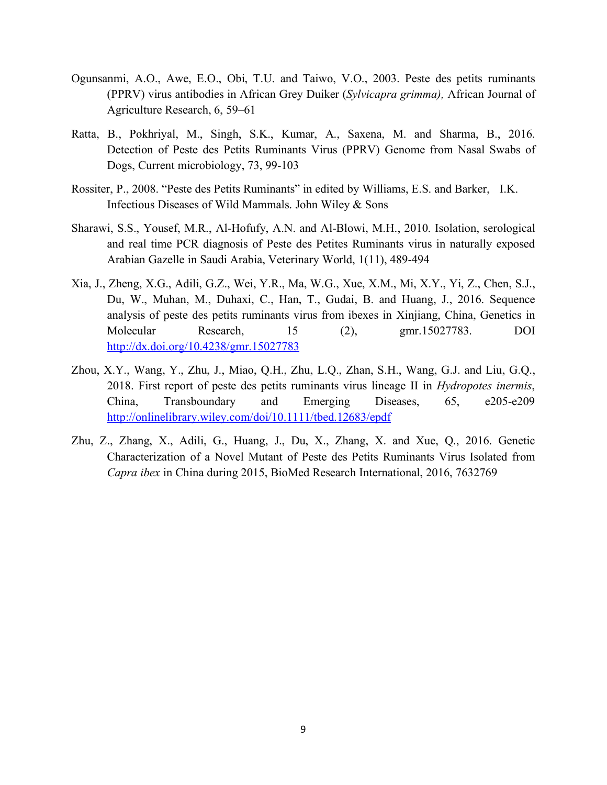- Ogunsanmi, A.O., Awe, E.O., Obi, T.U. and Taiwo, V.O., 2003. Peste des petits ruminants (PPRV) virus antibodies in African Grey Duiker (*Sylvicapra grimma),* African Journal of Agriculture Research, 6, 59–61
- Ratta, B., Pokhriyal, M., Singh, S.K., Kumar, A., Saxena, M. and Sharma, B., 2016. Detection of Peste des Petits Ruminants Virus (PPRV) Genome from Nasal Swabs of Dogs, Current microbiology, 73, 99-103
- Rossiter, P., 2008. "Peste des Petits Ruminants" in edited by Williams, E.S. and Barker, I.K. Infectious Diseases of Wild Mammals. John Wiley & Sons
- Sharawi, S.S., Yousef, M.R., Al-Hofufy, A.N. and Al-Blowi, M.H., 2010. Isolation, serological and real time PCR diagnosis of Peste des Petites Ruminants virus in naturally exposed Arabian Gazelle in Saudi Arabia, Veterinary World, 1(11), 489-494
- Xia, J., Zheng, X.G., Adili, G.Z., Wei, Y.R., Ma, W.G., Xue, X.M., Mi, X.Y., Yi, Z., Chen, S.J., Du, W., Muhan, M., Duhaxi, C., Han, T., Gudai, B. and Huang, J., 2016. Sequence analysis of peste des petits ruminants virus from ibexes in Xinjiang, China, Genetics in Molecular Research, 15 (2), gmr.15027783. DOI http://dx.doi.org/10.4238/gmr.15027783
- Zhou, X.Y., Wang, Y., Zhu, J., Miao, Q.H., Zhu, L.Q., Zhan, S.H., Wang, G.J. and Liu, G.Q., 2018. First report of peste des petits ruminants virus lineage II in *Hydropotes inermis*, China, Transboundary and Emerging Diseases, 65, e205-e209 http://onlinelibrary.wiley.com/doi/10.1111/tbed.12683/epdf
- Zhu, Z., Zhang, X., Adili, G., Huang, J., Du, X., Zhang, X. and Xue, Q., 2016. Genetic Characterization of a Novel Mutant of Peste des Petits Ruminants Virus Isolated from *Capra ibex* in China during 2015, BioMed Research International, 2016, 7632769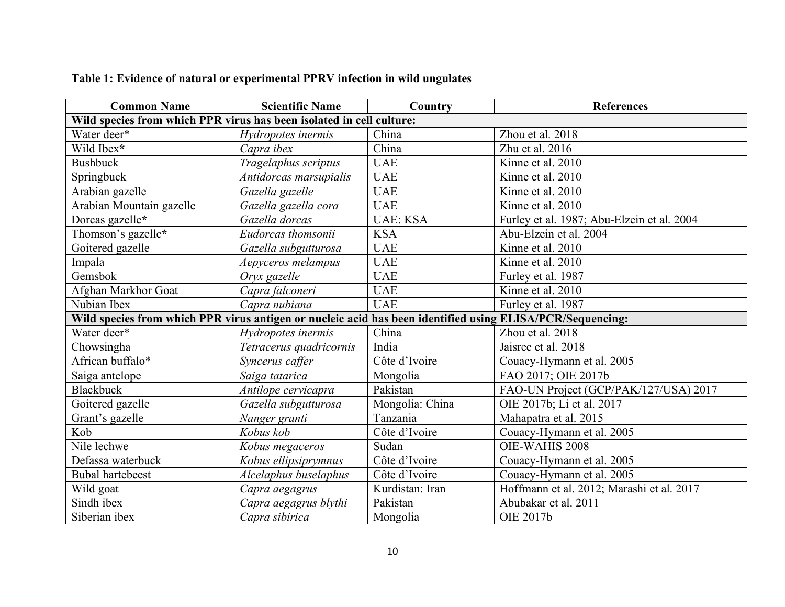| <b>Common Name</b>                                                                                        | <b>Scientific Name</b>  | Country         | <b>References</b>                          |  |  |
|-----------------------------------------------------------------------------------------------------------|-------------------------|-----------------|--------------------------------------------|--|--|
| Wild species from which PPR virus has been isolated in cell culture:                                      |                         |                 |                                            |  |  |
| Water deer*                                                                                               | Hydropotes inermis      | China           | Zhou et al. 2018                           |  |  |
| Wild Ibex*                                                                                                | Capra ibex              | China           | Zhu et al. 2016                            |  |  |
| <b>Bushbuck</b>                                                                                           | Tragelaphus scriptus    | <b>UAE</b>      | Kinne et al. 2010                          |  |  |
| Springbuck                                                                                                | Antidorcas marsupialis  | <b>UAE</b>      | Kinne et al. 2010                          |  |  |
| Arabian gazelle                                                                                           | Gazella gazelle         | <b>UAE</b>      | Kinne et al. 2010                          |  |  |
| Arabian Mountain gazelle                                                                                  | Gazella gazella cora    | <b>UAE</b>      | Kinne et al. 2010                          |  |  |
| Dorcas gazelle*                                                                                           | Gazella dorcas          | <b>UAE: KSA</b> | Furley et al. 1987; Abu-Elzein et al. 2004 |  |  |
| Thomson's gazelle*                                                                                        | Eudorcas thomsonii      | <b>KSA</b>      | Abu-Elzein et al. 2004                     |  |  |
| Goitered gazelle                                                                                          | Gazella subgutturosa    | <b>UAE</b>      | Kinne et al. 2010                          |  |  |
| Impala                                                                                                    | Aepyceros melampus      | <b>UAE</b>      | Kinne et al. 2010                          |  |  |
| Gemsbok                                                                                                   | Oryx gazelle            | <b>UAE</b>      | Furley et al. 1987                         |  |  |
| Afghan Markhor Goat                                                                                       | Capra falconeri         | <b>UAE</b>      | Kinne et al. 2010                          |  |  |
| Nubian Ibex                                                                                               | Capra nubiana           | <b>UAE</b>      | Furley et al. 1987                         |  |  |
| Wild species from which PPR virus antigen or nucleic acid has been identified using ELISA/PCR/Sequencing: |                         |                 |                                            |  |  |
| Water deer*                                                                                               | Hydropotes inermis      | China           | Zhou et al. 2018                           |  |  |
| Chowsingha                                                                                                | Tetracerus quadricornis | India           | Jaisree et al. 2018                        |  |  |
| African buffalo*                                                                                          | Syncerus caffer         | Côte d'Ivoire   | Couacy-Hymann et al. 2005                  |  |  |
| Saiga antelope                                                                                            | Saiga tatarica          | Mongolia        | FAO 2017; OIE 2017b                        |  |  |
| <b>Blackbuck</b>                                                                                          | Antilope cervicapra     | Pakistan        | FAO-UN Project (GCP/PAK/127/USA) 2017      |  |  |
| Goitered gazelle                                                                                          | Gazella subgutturosa    | Mongolia: China | OIE 2017b; Li et al. 2017                  |  |  |
| Grant's gazelle                                                                                           | Nanger granti           | Tanzania        | Mahapatra et al. 2015                      |  |  |
| Kob                                                                                                       | Kobus kob               | Côte d'Ivoire   | Couacy-Hymann et al. 2005                  |  |  |
| Nile lechwe                                                                                               | Kobus megaceros         | Sudan           | OIE-WAHIS 2008                             |  |  |
| Defassa waterbuck                                                                                         | Kobus ellipsiprymnus    | Côte d'Ivoire   | Couacy-Hymann et al. 2005                  |  |  |
| <b>Bubal hartebeest</b>                                                                                   | Alcelaphus buselaphus   | Côte d'Ivoire   | Couacy-Hymann et al. 2005                  |  |  |
| Wild goat                                                                                                 | Capra aegagrus          | Kurdistan: Iran | Hoffmann et al. 2012; Marashi et al. 2017  |  |  |
| Sindh ibex                                                                                                | Capra aegagrus blythi   | Pakistan        | Abubakar et al. 2011                       |  |  |
| Siberian ibex                                                                                             | Capra sibirica          | Mongolia        | OIE 2017b                                  |  |  |

# **Table 1: Evidence of natural or experimental PPRV infection in wild ungulates**